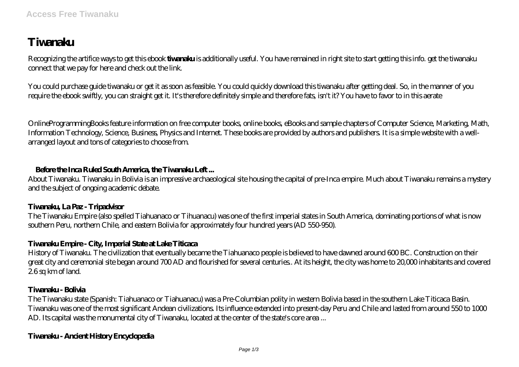# **Tiwanaku**

Recognizing the artifice ways to get this ebook **tiwanaku** is additionally useful. You have remained in right site to start getting this info. get the tiwanaku connect that we pay for here and check out the link.

You could purchase guide tiwanaku or get it as soon as feasible. You could quickly download this tiwanaku after getting deal. So, in the manner of you require the ebook swiftly, you can straight get it. It's therefore definitely simple and therefore fats, isn't it? You have to favor to in this aerate

OnlineProgrammingBooks feature information on free computer books, online books, eBooks and sample chapters of Computer Science, Marketing, Math, Information Technology, Science, Business, Physics and Internet. These books are provided by authors and publishers. It is a simple website with a wellarranged layout and tons of categories to choose from.

## **Before the Inca Ruled South America, the Tiwanaku Left ...**

About Tiwanaku. Tiwanaku in Bolivia is an impressive archaeological site housing the capital of pre-Inca empire. Much about Tiwanaku remains a mystery and the subject of ongoing academic debate.

## **Tiwanaku, La Paz - Tripadvisor**

The Tiwanaku Empire (also spelled Tiahuanaco or Tihuanacu) was one of the first imperial states in South America, dominating portions of what is now southern Peru, northern Chile, and eastern Bolivia for approximately four hundred years (AD 550-950).

## **Tiwanaku Empire - City, Imperial State at Lake Titicaca**

History of Tiwanaku. The civilization that eventually became the Tiahuanaco people is believed to have dawned around 600 BC. Construction on their great city and ceremonial site began around 700 AD and flourished for several centuries.. At its height, the city was home to 20,000 inhabitants and covered 26sq km of land.

## **Tiwanaku - Bolivia**

The Tiwanaku state (Spanish: Tiahuanaco or Tiahuanacu) was a Pre-Columbian polity in western Bolivia based in the southern Lake Titicaca Basin. Tiwanaku was one of the most significant Andean civilizations. Its influence extended into present-day Peru and Chile and lasted from around 550 to 1000 AD. Its capital was the monumental city of Tiwanaku, located at the center of the state's core area ...

# **Tiwanaku - Ancient History Encyclopedia**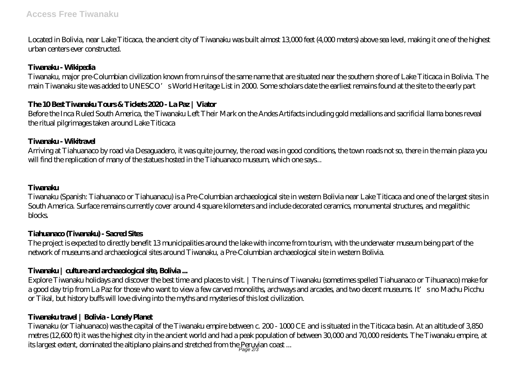Located in Bolivia, near Lake Titicaca, the ancient city of Tiwanaku was built almost 13,000 feet (4,000 meters) above sea level, making it one of the highest urban centers ever constructed.

# **Tiwanaku - Wikipedia**

Tiwanaku, major pre-Columbian civilization known from ruins of the same name that are situated near the southern shore of Lake Titicaca in Bolivia. The main Tiwanaku site was added to UNESCO's World Heritage List in 2000. Some scholars date the earliest remains found at the site to the early part

# **The 10 Best Tiwanaku Tours & Tickets 2020 - La Paz | Viator**

Before the Inca Ruled South America, the Tiwanaku Left Their Mark on the Andes Artifacts including gold medallions and sacrificial llama bones reveal the ritual pilgrimages taken around Lake Titicaca

## **Tiwanaku - Wikitraval**

Arriving at Tiahuanaco by road via Desaguadero, it was quite journey, the road was in good conditions, the town roads not so, there in the main plaza you will find the replication of many of the statues hosted in the Tiahuanaco museum, which one says...

## **Tiwanaku**

Tiwanaku (Spanish: Tiahuanaco or Tiahuanacu) is a Pre-Columbian archaeological site in western Bolivia near Lake Titicaca and one of the largest sites in South America. Surface remains currently cover around 4 square kilometers and include decorated ceramics, monumental structures, and megalithic **blocks** 

## **Tiahuanaco (Tiwanaku) - Sacred Sites**

The project is expected to directly benefit 13 municipalities around the lake with income from tourism, with the underwater museum being part of the network of museums and archaeological sites around Tiwanaku, a Pre-Columbian archaeological site in western Bolivia.

## **Tiwanaku | culture and archaeological site, Bolivia ...**

Explore Tiwanaku holidays and discover the best time and places to visit. | The ruins of Tiwanaku (sometimes spelled Tiahuanaco or Tihuanaco) make for a good day trip from La Paz for those who want to view a few carved monoliths, archways and arcades, and two decent museums. It's no Machu Picchu or Tikal, but history buffs will love diving into the myths and mysteries of this lost civilization.

## **Tiwanaku travel | Bolivia - Lonely Planet**

Tiwanaku (or Tiahuanaco) was the capital of the Tiwanaku empire between c. 200 - 1000 CE and is situated in the Titicaca basin. At an altitude of 3,850 metres (12,600 ft) it was the highest city in the ancient world and had a peak population of between 30,000 and 70,000 residents. The Tiwanaku empire, at its largest extent, dominated the altiplano plains and stretched from the Peruvian coast ...